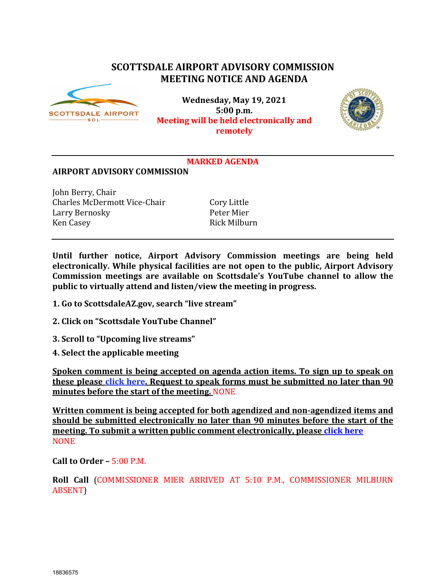# **SCOTTSDALE AIRPORT ADVISORY COMMISSION MEETING NOTICE AND AGENDA**



**Wednesday, May 19, 2021 5:00 p.m. Meeting will be held electronically and remotely**



## **MARKED AGENDA**

#### **AIRPORT ADVISORY COMMISSION**

John Berry, Chair Charles McDermott Vice-Chair Cory Little<br>
Larry Bernosky Peter Mier Larry Bernosky<br>Ken Casey

Rick Milburn

**Until further notice, Airport Advisory Commission meetings are being held electronically. While physical facilities are not open to the public, Airport Advisory Commission meetings are available on Scottsdale's YouTube channel to allow the public to virtually attend and listen/view the meeting in progress.**

- **1. Go to ScottsdaleAZ.gov, search "live stream"**
- **2. Click on "Scottsdale YouTube Channel"**
- **3. Scroll to "Upcoming live streams"**
- **4. Select the applicable meeting**

**Spoken comment is being accepted on agenda action items. To sign up to speak on these please [click here.](https://www.scottsdaleaz.gov/boards/airport-advisory-commission/spoken-comment) Request to speak forms must be submitted no later than 90 minutes before the start of the meeting.** NONE

**Written comment is being accepted for both agendized and non-agendized items and should be submitted electronically no later than 90 minutes before the start of the meeting. To submit a written public comment electronically, pleas[e click here](https://www.scottsdaleaz.gov/boards/airport-advisory-commission/public-comment) NONE** 

**Call to Order –** 5:00 P.M.

**Roll Call** (COMMISSIONER MIER ARRIVED AT 5:10 P.M., COMMISSIONER MILBURN ABSENT)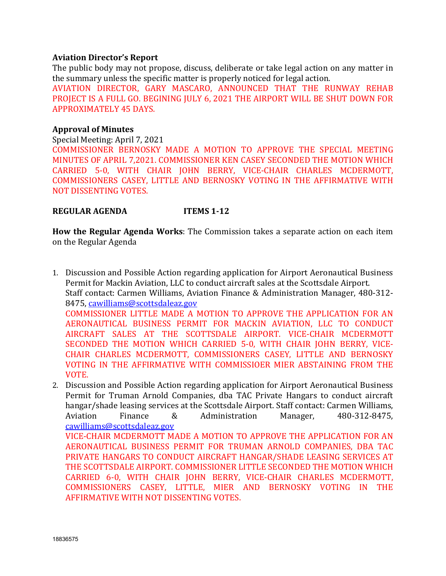#### **Aviation Director's Report**

The public body may not propose, discuss, deliberate or take legal action on any matter in the summary unless the specific matter is properly noticed for legal action.

AVIATION DIRECTOR, GARY MASCARO, ANNOUNCED THAT THE RUNWAY REHAB PROJECT IS A FULL GO. BEGINING JULY 6, 2021 THE AIRPORT WILL BE SHUT DOWN FOR APPROXIMATELY 45 DAYS.

#### **Approval of Minutes**

Special Meeting: April 7, 2021

COMMISSIONER BERNOSKY MADE A MOTION TO APPROVE THE SPECIAL MEETING MINUTES OF APRIL 7,2021. COMMISSIONER KEN CASEY SECONDED THE MOTION WHICH CARRIED 5-0, WITH CHAIR JOHN BERRY, VICE-CHAIR CHARLES MCDERMOTT, COMMISSIONERS CASEY, LITTLE AND BERNOSKY VOTING IN THE AFFIRMATIVE WITH NOT DISSENTING VOTES.

#### **REGULAR AGENDA ITEMS 1-12**

**How the Regular Agenda Works**: The Commission takes a separate action on each item on the Regular Agenda

- 1. Discussion and Possible Action regarding application for Airport Aeronautical Business Permit for Mackin Aviation, LLC to conduct aircraft sales at the Scottsdale Airport. Staff contact: Carmen Williams, Aviation Finance & Administration Manager, 480-312- 8475, [cawilliams@scottsdaleaz.gov](mailto:cawilliams@scottsdaleaz.gov) COMMISSIONER LITTLE MADE A MOTION TO APPROVE THE APPLICATION FOR AN AERONAUTICAL BUSINESS PERMIT FOR MACKIN AVIATION, LLC TO CONDUCT AIRCRAFT SALES AT THE SCOTTSDALE AIRPORT. VICE-CHAIR MCDERMOTT SECONDED THE MOTION WHICH CARRIED 5-0, WITH CHAIR JOHN BERRY, VICE-CHAIR CHARLES MCDERMOTT, COMMISSIONERS CASEY, LITTLE AND BERNOSKY VOTING IN THE AFFIRMATIVE WITH COMMISSIOER MIER ABSTAINING FROM THE VOTE.
- 2. Discussion and Possible Action regarding application for Airport Aeronautical Business Permit for Truman Arnold Companies, dba TAC Private Hangars to conduct aircraft hangar/shade leasing services at the Scottsdale Airport. Staff contact: Carmen Williams,<br>Aviation Finance & Administration Manager, 480-312-8475, 480-312-8475, [cawilliams@scottsdaleaz.gov](mailto:cawilliams@scottsdaleaz.gov) VICE-CHAIR MCDERMOTT MADE A MOTION TO APPROVE THE APPLICATION FOR AN AERONAUTICAL BUSINESS PERMIT FOR TRUMAN ARNOLD COMPANIES, DBA TAC PRIVATE HANGARS TO CONDUCT AIRCRAFT HANGAR/SHADE LEASING SERVICES AT THE SCOTTSDALE AIRPORT. COMMISSIONER LITTLE SECONDED THE MOTION WHICH CARRIED 6-0, WITH CHAIR JOHN BERRY, VICE-CHAIR CHARLES MCDERMOTT, COMMISSIONERS CASEY, LITTLE, MIER AND BERNOSKY VOTING IN THE AFFIRMATIVE WITH NOT DISSENTING VOTES.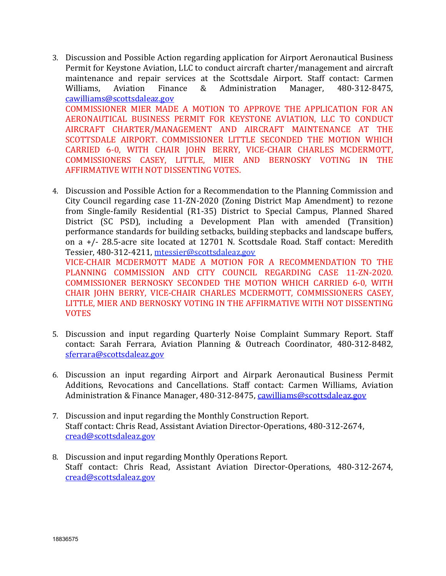- 3. Discussion and Possible Action regarding application for Airport Aeronautical Business Permit for Keystone Aviation, LLC to conduct aircraft charter/management and aircraft maintenance and repair services at the Scottsdale Airport. Staff contact: Carmen<br>Williams. Aviation Finance & Administration Manager. 480-312-8475. Administration [cawilliams@scottsdaleaz.gov](mailto:cawilliams@scottsdaleaz.gov) COMMISSIONER MIER MADE A MOTION TO APPROVE THE APPLICATION FOR AN AERONAUTICAL BUSINESS PERMIT FOR KEYSTONE AVIATION, LLC TO CONDUCT AIRCRAFT CHARTER/MANAGEMENT AND AIRCRAFT MAINTENANCE AT THE SCOTTSDALE AIRPORT. COMMISSIONER LITTLE SECONDED THE MOTION WHICH CARRIED 6-0, WITH CHAIR JOHN BERRY, VICE-CHAIR CHARLES MCDERMOTT, COMMISSIONERS CASEY, LITTLE, MIER AND BERNOSKY VOTING IN THE AFFIRMATIVE WITH NOT DISSENTING VOTES.
- 4. Discussion and Possible Action for a Recommendation to the Planning Commission and City Council regarding case 11-ZN-2020 (Zoning District Map Amendment) to rezone from Single-family Residential (R1-35) District to Special Campus, Planned Shared District (SC PSD), including a Development Plan with amended (Transition) performance standards for building setbacks, building stepbacks and landscape buffers, on a +/- 28.5-acre site located at 12701 N. Scottsdale Road. Staff contact: Meredith Tessier, 480-312-4211, [mtessier@scottsdaleaz.gov](mailto:mtesssier@scottsdaleaz.gov) VICE-CHAIR MCDERMOTT MADE A MOTION FOR A RECOMMENDATION TO THE PLANNING COMMISSION AND CITY COUNCIL REGARDING CASE 11-ZN-2020. COMMISSIONER BERNOSKY SECONDED THE MOTION WHICH CARRIED 6-0, WITH CHAIR JOHN BERRY, VICE-CHAIR CHARLES MCDERMOTT, COMMISSIONERS CASEY,
- 5. Discussion and input regarding Quarterly Noise Complaint Summary Report. Staff contact: Sarah Ferrara, Aviation Planning & Outreach Coordinator, 480-312-8482, [sferrara@scottsdaleaz.gov](mailto:sferrara@scottsdaleaz.gov)

LITTLE, MIER AND BERNOSKY VOTING IN THE AFFIRMATIVE WITH NOT DISSENTING

- 6. Discussion an input regarding Airport and Airpark Aeronautical Business Permit Additions, Revocations and Cancellations. Staff contact: Carmen Williams, Aviation Administration & Finance Manager, 480-312-8475, [cawilliams@scottsdaleaz.gov](mailto:cawilliams@scottsdaleaz.gov)
- 7. Discussion and input regarding the Monthly Construction Report. Staff contact: Chris Read, Assistant Aviation Director-Operations, 480-312-2674, [cread@scottsdaleaz.gov](mailto:cread@scottsdaleaz.gov)
- 8. Discussion and input regarding Monthly Operations Report. Staff contact: Chris Read, Assistant Aviation Director-Operations, 480-312-2674, [cread@scottsdaleaz.gov](mailto:cread@scottsdaleaz.gov)

VOTES